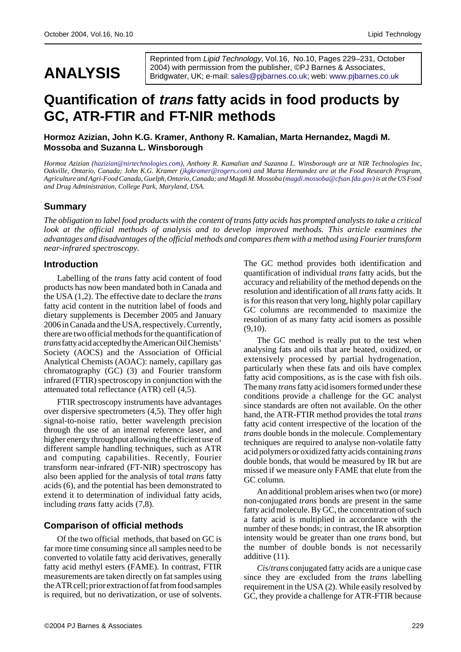# **ANALYSIS**

Reprinted from Lipid Technology, Vol.16, No.10, Pages 229–231, October 2004) with permission from the publisher, ©PJ Barnes & Associates, Bridgwater, UK; e-mail: sales@pjbarnes.co.uk; web: www.pjbarnes.co.uk

# **Quantification of trans fatty acids in food products by GC, ATR-FTIR and FT-NIR m[ethods](mailto:sales@pjbarnes.co.uk)**

**Hormoz Azizian, John K.G. Kramer, Anthony R. Kamalian, Marta Hernandez, Magdi M. Mossoba and Suzanna L. Winsborough**

*Hormoz Azizian (hazizian@nirtechnologies.com), Anthony R. Kamalian and Suzanna L. Winsborough are at NIR Technologies Inc, Oakville, Ontario, Canada; John K.G. Kramer (jkgkramer@rogers.com) and Marta Hernandez are at the Food Research Program, Agriculture and Agri-Food Canada, Guelph, Ontario, Canada; and Magdi M. Mossoba (magdi.mossoba@cfsan.fda.gov) is at the US Food and Drug Administration, College Park, Maryland, USA.*

#### **Summary**

*The obligation to label food products with the content of trans fatty acid[s has prompted analysts to](mailto:magdi.mossoba@cfsan.fda.gov) take a critical look at the official methods of analysis and to develop improved methods. This article examines the advantages and disadvantages of the official methods and compares them with a method using Fourier transform near-infrared spectroscopy.*

#### **Introduction**

Labelling of the *trans* fatty acid content of food products has now been mandated both in Canada and the USA (1,2). The effective date to declare the *trans* fatty acid content in the nutrition label of foods and dietary supplements is December 2005 and January 2006 in Canada and the USA, respectively. Currently, there are two official methods for the quantification of *trans* fatty acid accepted by the American Oil Chemists' Society (AOCS) and the Association of Official Analytical Chemists (AOAC): namely, capillary gas chromatography (GC) (3) and Fourier transform infrared (FTIR) spectroscopy in conjunction with the attenuated total reflectance (ATR) cell (4,5).

FTIR spectroscopy instruments have advantages over dispersive spectrometers (4,5). They offer high signal-to-noise ratio, better wavelength precision through the use of an internal reference laser, and higher energy throughput allowing the efficient use of different sample handling techniques, such as ATR and computing capabilities. Recently, Fourier transform near-infrared (FT-NIR) spectroscopy has also been applied for the analysis of total *trans* fatty acids (6), and the potential has been demonstrated to extend it to determination of individual fatty acids, including *trans* fatty acids (7,8).

## **Comparison of official methods**

Of the two official methods, that based on GC is far more time consuming since all samples need to be converted to volatile fatty acid derivatives, generally fatty acid methyl esters (FAME). In contrast, FTIR measurements are taken directly on fat samples using the ATR cell; prior extraction of fat from food samples is required, but no derivatization, or use of solvents. The GC method provides both identification and quantification of individual *trans* fatty acids, but the accuracy and reliability of the method depends on the resolution and identification of all *trans* fatty acids. It is for this reason that very long, highly polar capillary GC columns are recommended to maximize the resolution of as many fatty acid isomers as possible  $(9,10)$ .

The GC method is really put to the test when analysing fats and oils that are heated, oxidized, or extensively processed by partial hydrogenation, particularly when these fats and oils have complex fatty acid compositions, as is the case with fish oils. The many *trans* fatty acid isomers formed under these conditions provide a challenge for the GC analyst since standards are often not available. On the other hand, the ATR-FTIR method provides the total *trans* fatty acid content irrespective of the location of the *trans* double bonds in the molecule. Complementary techniques are required to analyse non-volatile fatty acid polymers or oxidized fatty acids containing *trans* double bonds, that would be measured by IR but are missed if we measure only FAME that elute from the GC column.

An additional problem arises when two (or more) non-conjugated *trans* bonds are present in the same fatty acid molecule. By GC, the concentration of such a fatty acid is multiplied in accordance with the number of these bonds; in contrast, the IR absorption intensity would be greater than one *trans* bond, but the number of double bonds is not necessarily additive (11).

*Cis*/*trans* conjugated fatty acids are a unique case since they are excluded from the *trans* labelling requirement in the USA (2). While easily resolved by GC, they provide a challenge for ATR-FTIR because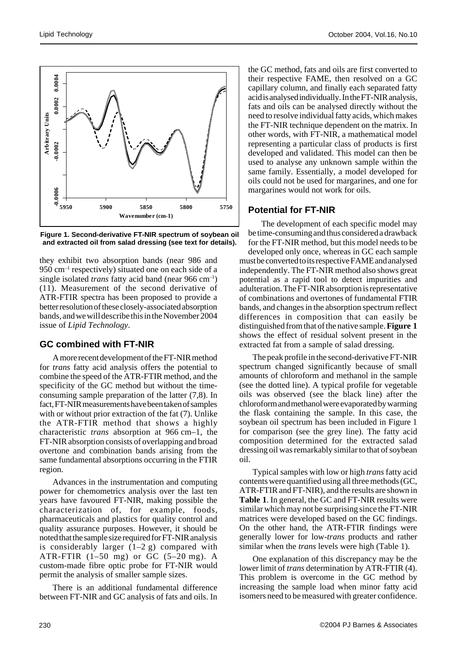

**Figure 1. Second-derivative FT-NIR spectrum of soybean oil and extracted oil from salad dressing (see text for details).**

they exhibit two absorption bands (near 986 and 950 cm–1 respectively) situated one on each side of a single isolated *trans* fatty acid band (near 966 cm–1) (11). Measurement of the second derivative of ATR-FTIR spectra has been proposed to provide a better resolution of these closely-associated absorption bands, and we will describe this in the November 2004 issue of *Lipid Technology*.

## **GC combined with FT-NIR**

A more recent development of the FT-NIR method for *trans* fatty acid analysis offers the potential to combine the speed of the ATR-FTIR method, and the specificity of the GC method but without the timeconsuming sample preparation of the latter (7,8). In fact, FT-NIR measurements have been taken of samples with or without prior extraction of the fat (7). Unlike the ATR-FTIR method that shows a highly characteristic *trans* absorption at 966 cm–1, the FT-NIR absorption consists of overlapping and broad overtone and combination bands arising from the same fundamental absorptions occurring in the FTIR region.

Advances in the instrumentation and computing power for chemometrics analysis over the last ten years have favoured FT-NIR, making possible the characterization of, for example, foods, pharmaceuticals and plastics for quality control and quality assurance purposes. However, it should be noted that the sample size required for FT-NIR analysis is considerably larger  $(1-2 g)$  compared with ATR-FTIR  $(1-50$  mg) or GC  $(5-20$  mg). A custom-made fibre optic probe for FT-NIR would permit the analysis of smaller sample sizes.

There is an additional fundamental difference between FT-NIR and GC analysis of fats and oils. In

the GC method, fats and oils are first converted to their respective FAME, then resolved on a GC capillary column, and finally each separated fatty acid is analysed individually. In the FT-NIR analysis, fats and oils can be analysed directly without the need to resolve individual fatty acids, which makes the FT-NIR technique dependent on the matrix. In other words, with FT-NIR, a mathematical model representing a particular class of products is first developed and validated. This model can then be used to analyse any unknown sample within the same family. Essentially, a model developed for oils could not be used for margarines, and one for margarines would not work for oils.

#### **Potential for FT-NIR**

The development of each specific model may be time-consuming and thus considered a drawback for the FT-NIR method, but this model needs to be developed only once, whereas in GC each sample must be converted to its respective FAME and analysed independently. The FT-NIR method also shows great potential as a rapid tool to detect impurities and adulteration. The FT-NIR absorption is representative of combinations and overtones of fundamental FTIR bands, and changes in the absorption spectrum reflect differences in composition that can easily be distinguished from that of the native sample. **Figure 1** shows the effect of residual solvent present in the extracted fat from a sample of salad dressing.

The peak profile in the second-derivative FT-NIR spectrum changed significantly because of small amounts of chloroform and methanol in the sample (see the dotted line). A typical profile for vegetable oils was observed (see the black line) after the chloroform and methanol were evaporated by warming the flask containing the sample. In this case, the soybean oil spectrum has been included in Figure 1 for comparison (see the grey line). The fatty acid composition determined for the extracted salad dressing oil was remarkably similar to that of soybean oil.

Typical samples with low or high *trans* fatty acid contents were quantified using all three methods (GC, ATR-FTIR and FT-NIR), and the results are shown in **Table 1**. In general, the GC and FT-NIR results were similar which may not be surprising since the FT-NIR matrices were developed based on the GC findings. On the other hand, the ATR-FTIR findings were generally lower for low-*trans* products and rather similar when the *trans* levels were high (Table 1).

One explanation of this discrepancy may be the lower limit of *trans* determination by ATR-FTIR (4). This problem is overcome in the GC method by increasing the sample load when minor fatty acid isomers need to be measured with greater confidence.